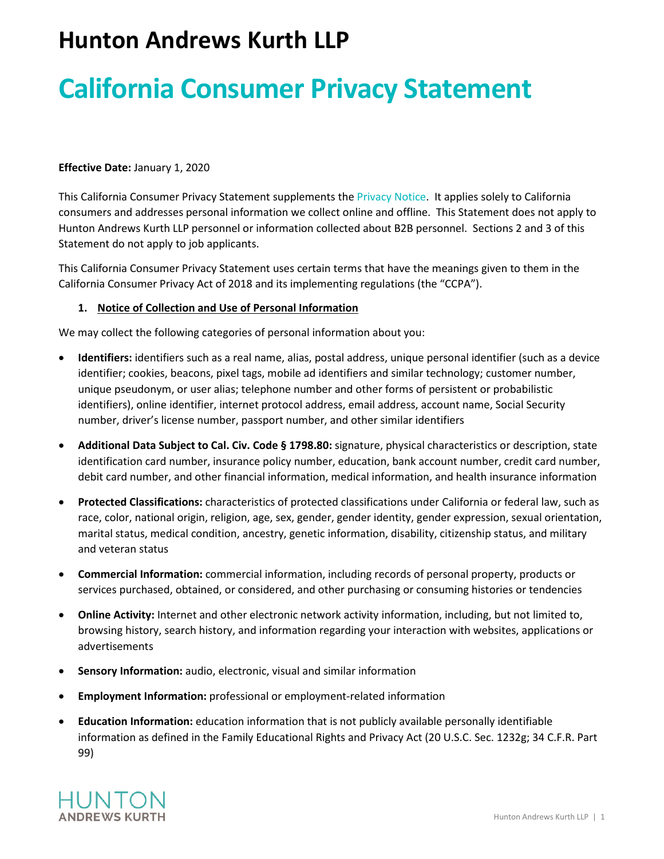# **Hunton Andrews Kurth LLP**

# **California Consumer Privacy Statement**

#### **Effective Date:** January 1, 2020

This California Consumer Privacy Statement supplements the [Privacy Notice](https://www.huntonak.com/en/privacy-policy.html). It applies solely to California consumers and addresses personal information we collect online and offline. This Statement does not apply to Hunton Andrews Kurth LLP personnel or information collected about B2B personnel. Sections 2 and 3 of this Statement do not apply to job applicants.

This California Consumer Privacy Statement uses certain terms that have the meanings given to them in the California Consumer Privacy Act of 2018 and its implementing regulations (the "CCPA").

#### **1. Notice of Collection and Use of Personal Information**

We may collect the following categories of personal information about you:

- **Identifiers:** identifiers such as a real name, alias, postal address, unique personal identifier (such as a device identifier; cookies, beacons, pixel tags, mobile ad identifiers and similar technology; customer number, unique pseudonym, or user alias; telephone number and other forms of persistent or probabilistic identifiers), online identifier, internet protocol address, email address, account name, Social Security number, driver's license number, passport number, and other similar identifiers
- **Additional Data Subject to Cal. Civ. Code § 1798.80:** signature, physical characteristics or description, state identification card number, insurance policy number, education, bank account number, credit card number, debit card number, and other financial information, medical information, and health insurance information
- **Protected Classifications:** characteristics of protected classifications under California or federal law, such as race, color, national origin, religion, age, sex, gender, gender identity, gender expression, sexual orientation, marital status, medical condition, ancestry, genetic information, disability, citizenship status, and military and veteran status
- **Commercial Information:** commercial information, including records of personal property, products or services purchased, obtained, or considered, and other purchasing or consuming histories or tendencies
- **Online Activity:** Internet and other electronic network activity information, including, but not limited to, browsing history, search history, and information regarding your interaction with websites, applications or advertisements
- **Sensory Information:** audio, electronic, visual and similar information
- **Employment Information:** professional or employment-related information
- **Education Information:** education information that is not publicly available personally identifiable information as defined in the Family Educational Rights and Privacy Act (20 U.S.C. Sec. 1232g; 34 C.F.R. Part 99)

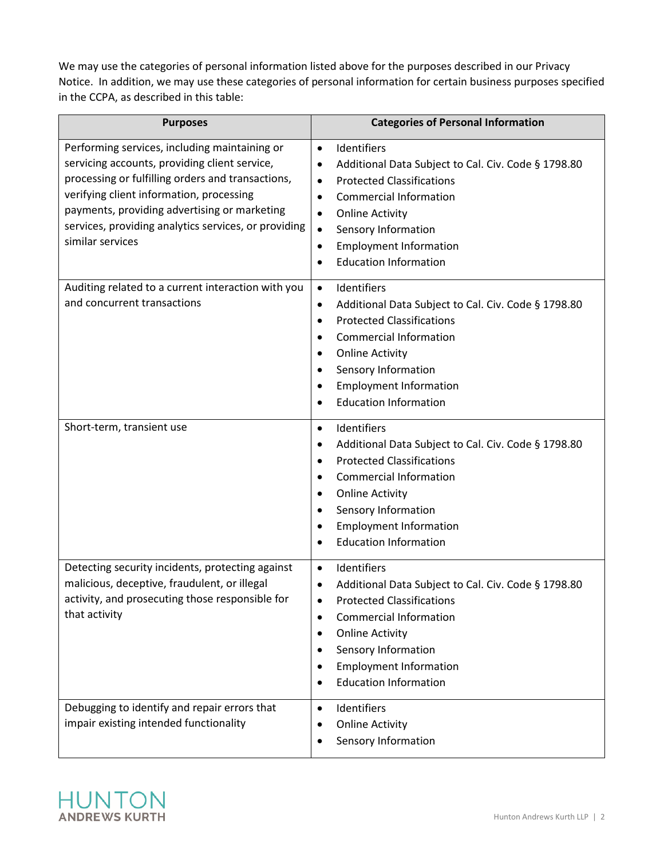We may use the categories of personal information listed above for the purposes described in our Privacy Notice. In addition, we may use these categories of personal information for certain business purposes specified in the CCPA, as described in this table:

| <b>Purposes</b>                                                                                                                                                                                                                                                                                                             | <b>Categories of Personal Information</b>                                                                                                                                                                                                                                                                                                                         |
|-----------------------------------------------------------------------------------------------------------------------------------------------------------------------------------------------------------------------------------------------------------------------------------------------------------------------------|-------------------------------------------------------------------------------------------------------------------------------------------------------------------------------------------------------------------------------------------------------------------------------------------------------------------------------------------------------------------|
| Performing services, including maintaining or<br>servicing accounts, providing client service,<br>processing or fulfilling orders and transactions,<br>verifying client information, processing<br>payments, providing advertising or marketing<br>services, providing analytics services, or providing<br>similar services | Identifiers<br>$\bullet$<br>Additional Data Subject to Cal. Civ. Code § 1798.80<br>$\bullet$<br><b>Protected Classifications</b><br>$\bullet$<br><b>Commercial Information</b><br>$\bullet$<br><b>Online Activity</b><br>$\bullet$<br>Sensory Information<br>$\bullet$<br><b>Employment Information</b><br>$\bullet$<br><b>Education Information</b><br>$\bullet$ |
| Auditing related to a current interaction with you<br>and concurrent transactions                                                                                                                                                                                                                                           | Identifiers<br>$\bullet$<br>Additional Data Subject to Cal. Civ. Code § 1798.80<br>$\bullet$<br><b>Protected Classifications</b><br>$\bullet$<br><b>Commercial Information</b><br>٠<br><b>Online Activity</b><br>$\bullet$<br>Sensory Information<br><b>Employment Information</b><br><b>Education Information</b>                                                |
| Short-term, transient use                                                                                                                                                                                                                                                                                                   | Identifiers<br>$\bullet$<br>Additional Data Subject to Cal. Civ. Code § 1798.80<br><b>Protected Classifications</b><br>$\bullet$<br><b>Commercial Information</b><br>٠<br><b>Online Activity</b><br>Sensory Information<br><b>Employment Information</b><br><b>Education Information</b>                                                                          |
| Detecting security incidents, protecting against<br>malicious, deceptive, fraudulent, or illegal<br>activity, and prosecuting those responsible for<br>that activity                                                                                                                                                        | Identifiers<br>$\bullet$<br>Additional Data Subject to Cal. Civ. Code § 1798.80<br>$\bullet$<br><b>Protected Classifications</b><br><b>Commercial Information</b><br><b>Online Activity</b><br>Sensory Information<br><b>Employment Information</b><br><b>Education Information</b>                                                                               |
| Debugging to identify and repair errors that<br>impair existing intended functionality                                                                                                                                                                                                                                      | Identifiers<br>$\bullet$<br><b>Online Activity</b><br>Sensory Information                                                                                                                                                                                                                                                                                         |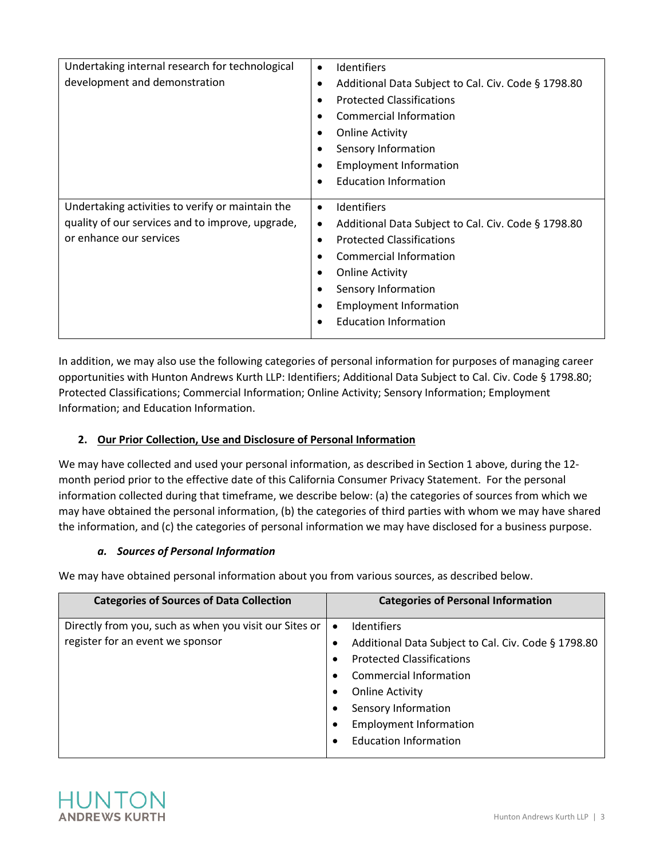| Undertaking internal research for technological  | Identifiers<br>٠                                         |
|--------------------------------------------------|----------------------------------------------------------|
| development and demonstration                    | Additional Data Subject to Cal. Civ. Code § 1798.80<br>٠ |
|                                                  | <b>Protected Classifications</b>                         |
|                                                  | Commercial Information                                   |
|                                                  | <b>Online Activity</b><br>٠                              |
|                                                  | Sensory Information                                      |
|                                                  | <b>Employment Information</b>                            |
|                                                  | <b>Education Information</b>                             |
|                                                  |                                                          |
|                                                  |                                                          |
| Undertaking activities to verify or maintain the | <b>Identifiers</b><br>$\bullet$                          |
| quality of our services and to improve, upgrade, | Additional Data Subject to Cal. Civ. Code § 1798.80<br>٠ |
| or enhance our services                          | <b>Protected Classifications</b><br>٠                    |
|                                                  | Commercial Information                                   |
|                                                  | <b>Online Activity</b>                                   |
|                                                  | Sensory Information                                      |
|                                                  | <b>Employment Information</b>                            |
|                                                  | <b>Education Information</b>                             |

In addition, we may also use the following categories of personal information for purposes of managing career opportunities with Hunton Andrews Kurth LLP: Identifiers; Additional Data Subject to Cal. Civ. Code § 1798.80; Protected Classifications; Commercial Information; Online Activity; Sensory Information; Employment Information; and Education Information.

# **2. Our Prior Collection, Use and Disclosure of Personal Information**

We may have collected and used your personal information, as described in Section 1 above, during the 12 month period prior to the effective date of this California Consumer Privacy Statement. For the personal information collected during that timeframe, we describe below: (a) the categories of sources from which we may have obtained the personal information, (b) the categories of third parties with whom we may have shared the information, and (c) the categories of personal information we may have disclosed for a business purpose.

### *a. Sources of Personal Information*

We may have obtained personal information about you from various sources, as described below.

| <b>Categories of Sources of Data Collection</b>                                            | <b>Categories of Personal Information</b>                                                                                                                                                                                                                             |
|--------------------------------------------------------------------------------------------|-----------------------------------------------------------------------------------------------------------------------------------------------------------------------------------------------------------------------------------------------------------------------|
| Directly from you, such as when you visit our Sites or<br>register for an event we sponsor | Identifiers<br>$\bullet$<br>Additional Data Subject to Cal. Civ. Code § 1798.80<br><b>Protected Classifications</b><br>$\bullet$<br><b>Commercial Information</b><br><b>Online Activity</b><br>٠<br>Sensory Information<br><b>Employment Information</b><br>$\bullet$ |
|                                                                                            | <b>Education Information</b><br>$\bullet$                                                                                                                                                                                                                             |

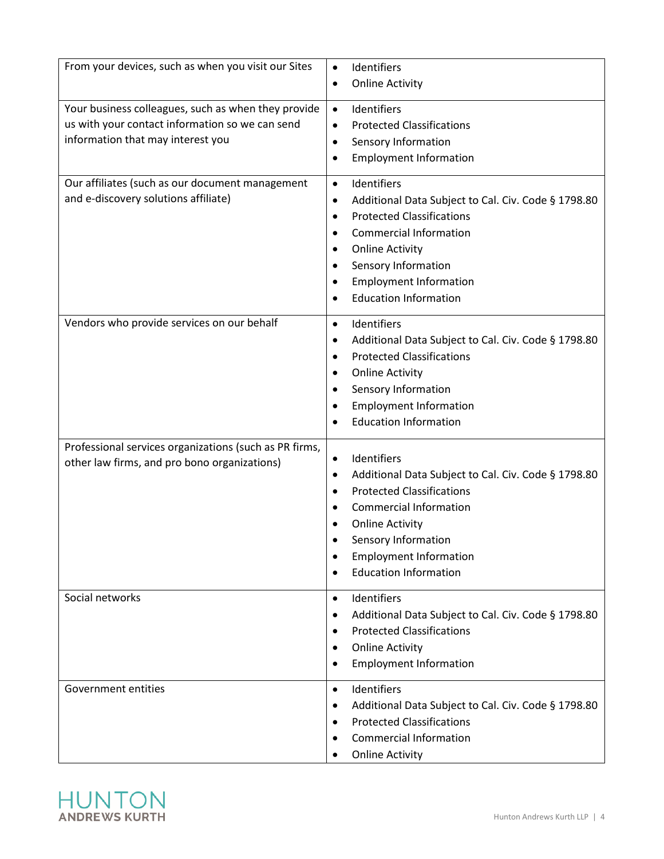| From your devices, such as when you visit our Sites                                                                                         | Identifiers<br>$\bullet$<br><b>Online Activity</b><br>٠                                                                                                                                                                                                                                       |
|---------------------------------------------------------------------------------------------------------------------------------------------|-----------------------------------------------------------------------------------------------------------------------------------------------------------------------------------------------------------------------------------------------------------------------------------------------|
| Your business colleagues, such as when they provide<br>us with your contact information so we can send<br>information that may interest you | Identifiers<br>$\bullet$<br><b>Protected Classifications</b><br>$\bullet$<br>Sensory Information<br>٠<br><b>Employment Information</b><br>$\bullet$                                                                                                                                           |
| Our affiliates (such as our document management<br>and e-discovery solutions affiliate)                                                     | Identifiers<br>$\bullet$<br>Additional Data Subject to Cal. Civ. Code § 1798.80<br>٠<br><b>Protected Classifications</b><br>$\bullet$<br><b>Commercial Information</b><br><b>Online Activity</b><br>٠<br>Sensory Information<br><b>Employment Information</b><br><b>Education Information</b> |
| Vendors who provide services on our behalf                                                                                                  | Identifiers<br>$\bullet$<br>Additional Data Subject to Cal. Civ. Code § 1798.80<br>٠<br><b>Protected Classifications</b><br>$\bullet$<br><b>Online Activity</b><br>٠<br>Sensory Information<br><b>Employment Information</b><br><b>Education Information</b>                                  |
| Professional services organizations (such as PR firms,<br>other law firms, and pro bono organizations)                                      | Identifiers<br>$\bullet$<br>Additional Data Subject to Cal. Civ. Code § 1798.80<br>$\bullet$<br><b>Protected Classifications</b><br><b>Commercial Information</b><br><b>Online Activity</b><br>Sensory Information<br><b>Employment Information</b><br><b>Education Information</b>           |
| Social networks                                                                                                                             | Identifiers<br>$\bullet$<br>Additional Data Subject to Cal. Civ. Code § 1798.80<br><b>Protected Classifications</b><br><b>Online Activity</b><br><b>Employment Information</b>                                                                                                                |
| Government entities                                                                                                                         | Identifiers<br>$\bullet$<br>Additional Data Subject to Cal. Civ. Code § 1798.80<br><b>Protected Classifications</b><br><b>Commercial Information</b><br><b>Online Activity</b>                                                                                                                |

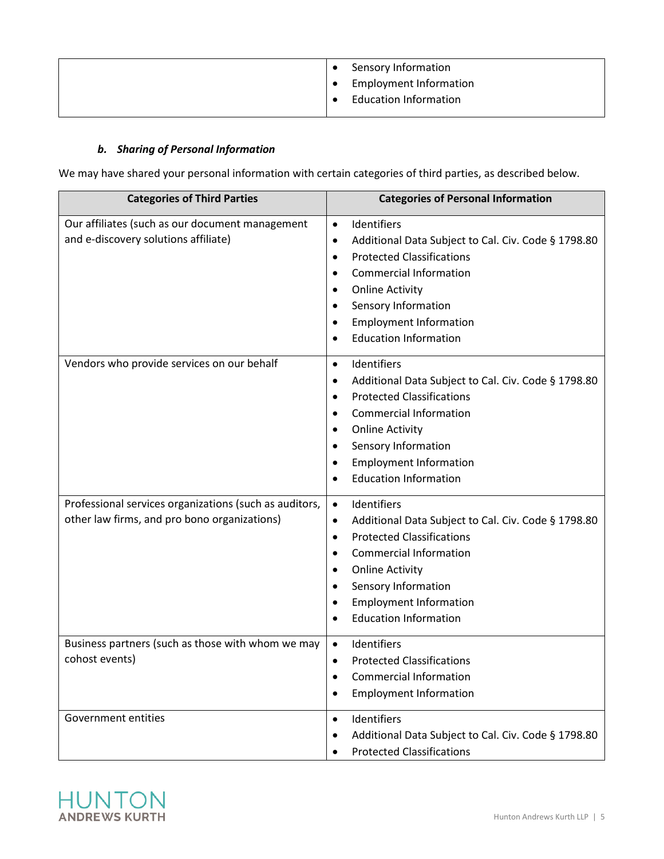| Sensory Information           |
|-------------------------------|
| <b>Employment Information</b> |
| <b>Education Information</b>  |
|                               |

## *b. Sharing of Personal Information*

We may have shared your personal information with certain categories of third parties, as described below.

| <b>Categories of Third Parties</b>                                                                     | <b>Categories of Personal Information</b>                                                                                                                                                                                                                                                             |
|--------------------------------------------------------------------------------------------------------|-------------------------------------------------------------------------------------------------------------------------------------------------------------------------------------------------------------------------------------------------------------------------------------------------------|
| Our affiliates (such as our document management<br>and e-discovery solutions affiliate)                | Identifiers<br>$\bullet$<br>Additional Data Subject to Cal. Civ. Code § 1798.80<br>$\bullet$<br><b>Protected Classifications</b><br>$\bullet$<br><b>Commercial Information</b><br><b>Online Activity</b><br>٠<br>Sensory Information<br><b>Employment Information</b><br><b>Education Information</b> |
| Vendors who provide services on our behalf                                                             | Identifiers<br>$\bullet$<br>Additional Data Subject to Cal. Civ. Code § 1798.80<br><b>Protected Classifications</b><br>٠<br><b>Commercial Information</b><br><b>Online Activity</b><br>Sensory Information<br><b>Employment Information</b><br><b>Education Information</b>                           |
| Professional services organizations (such as auditors,<br>other law firms, and pro bono organizations) | Identifiers<br>$\bullet$<br>Additional Data Subject to Cal. Civ. Code § 1798.80<br>$\bullet$<br><b>Protected Classifications</b><br>$\bullet$<br><b>Commercial Information</b><br><b>Online Activity</b><br>Sensory Information<br><b>Employment Information</b><br><b>Education Information</b>      |
| Business partners (such as those with whom we may<br>cohost events)                                    | Identifiers<br>$\bullet$<br><b>Protected Classifications</b><br><b>Commercial Information</b><br><b>Employment Information</b>                                                                                                                                                                        |
| Government entities                                                                                    | Identifiers<br>$\bullet$<br>Additional Data Subject to Cal. Civ. Code § 1798.80<br><b>Protected Classifications</b>                                                                                                                                                                                   |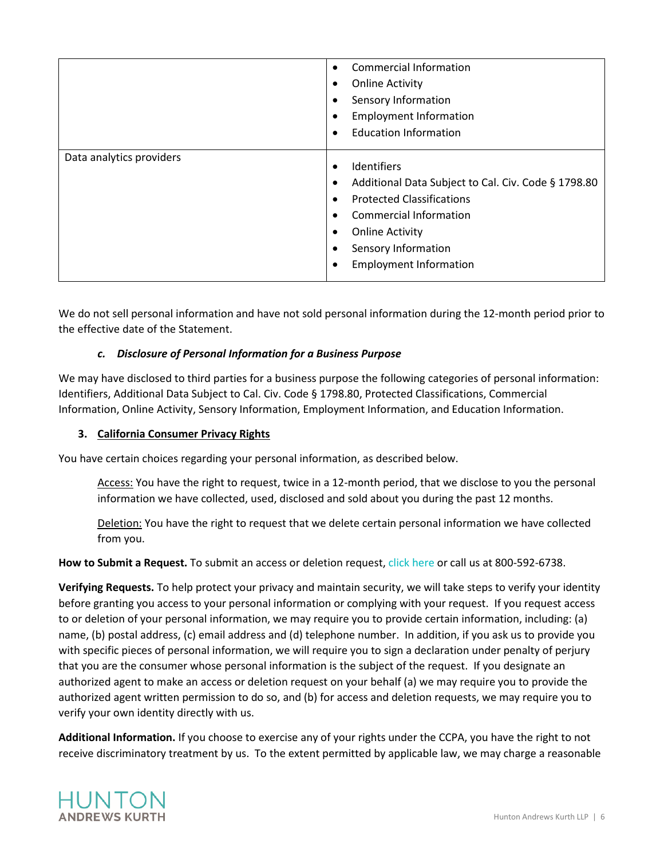|                          | Commercial Information<br><b>Online Activity</b><br>Sensory Information<br><b>Employment Information</b><br><b>Education Information</b>                                                                           |
|--------------------------|--------------------------------------------------------------------------------------------------------------------------------------------------------------------------------------------------------------------|
| Data analytics providers | Identifiers<br>Additional Data Subject to Cal. Civ. Code § 1798.80<br><b>Protected Classifications</b><br>Commercial Information<br><b>Online Activity</b><br>Sensory Information<br><b>Employment Information</b> |

We do not sell personal information and have not sold personal information during the 12-month period prior to the effective date of the Statement.

### *c. Disclosure of Personal Information for a Business Purpose*

We may have disclosed to third parties for a business purpose the following categories of personal information: Identifiers, Additional Data Subject to Cal. Civ. Code § 1798.80, Protected Classifications, Commercial Information, Online Activity, Sensory Information, Employment Information, and Education Information.

#### **3. California Consumer Privacy Rights**

You have certain choices regarding your personal information, as described below.

Access: You have the right to request, twice in a 12-month period, that we disclose to you the personal information we have collected, used, disclosed and sold about you during the past 12 months.

Deletion: You have the right to request that we delete certain personal information we have collected from you.

**How to Submit a Request.** To submit an access or deletion request, [click here](https://info.huntonak.com/ccpa-of-2018-access-and-deletion-rights-request-form) or call us at 800-592-6738.

**Verifying Requests.** To help protect your privacy and maintain security, we will take steps to verify your identity before granting you access to your personal information or complying with your request. If you request access to or deletion of your personal information, we may require you to provide certain information, including: (a) name, (b) postal address, (c) email address and (d) telephone number. In addition, if you ask us to provide you with specific pieces of personal information, we will require you to sign a declaration under penalty of perjury that you are the consumer whose personal information is the subject of the request. If you designate an authorized agent to make an access or deletion request on your behalf (a) we may require you to provide the authorized agent written permission to do so, and (b) for access and deletion requests, we may require you to verify your own identity directly with us.

**Additional Information.** If you choose to exercise any of your rights under the CCPA, you have the right to not receive discriminatory treatment by us. To the extent permitted by applicable law, we may charge a reasonable